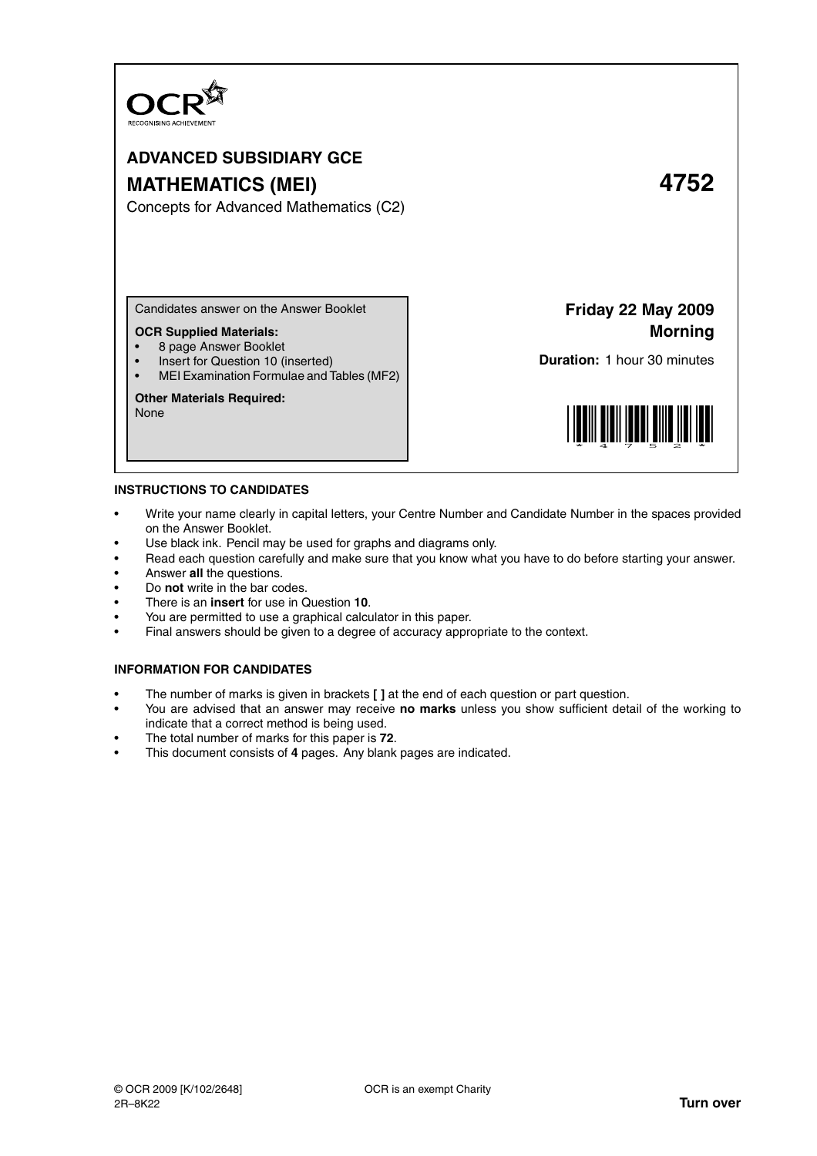

# **ADVANCED SUBSIDIARY GCE MATHEMATICS (MEI) 4752**

Concepts for Advanced Mathematics (C2)

Candidates answer on the Answer Booklet

# **OCR Supplied Materials:**

- 8 page Answer Booklet
- Insert for Question 10 (inserted)
- MEI Examination Formulae and Tables (MF2)

# **Other Materials Required:**

None

**Friday 22 May 2009 Morning**

**Duration:** 1 hour 30 minutes



## **INSTRUCTIONS TO CANDIDATES**

- Write your name clearly in capital letters, your Centre Number and Candidate Number in the spaces provided on the Answer Booklet.
- Use black ink. Pencil may be used for graphs and diagrams only.
- Read each question carefully and make sure that you know what you have to do before starting your answer.
- Answer **all** the questions.
- Do **not** write in the bar codes.
- There is an **insert** for use in Question **10**.
- You are permitted to use a graphical calculator in this paper.
- Final answers should be given to a degree of accuracy appropriate to the context.

# **INFORMATION FOR CANDIDATES**

- The number of marks is given in brackets **[ ]** at the end of each question or part question.
- You are advised that an answer may receive **no marks** unless you show sufficient detail of the working to indicate that a correct method is being used.
- The total number of marks for this paper is **72**.
- This document consists of **4** pages. Any blank pages are indicated.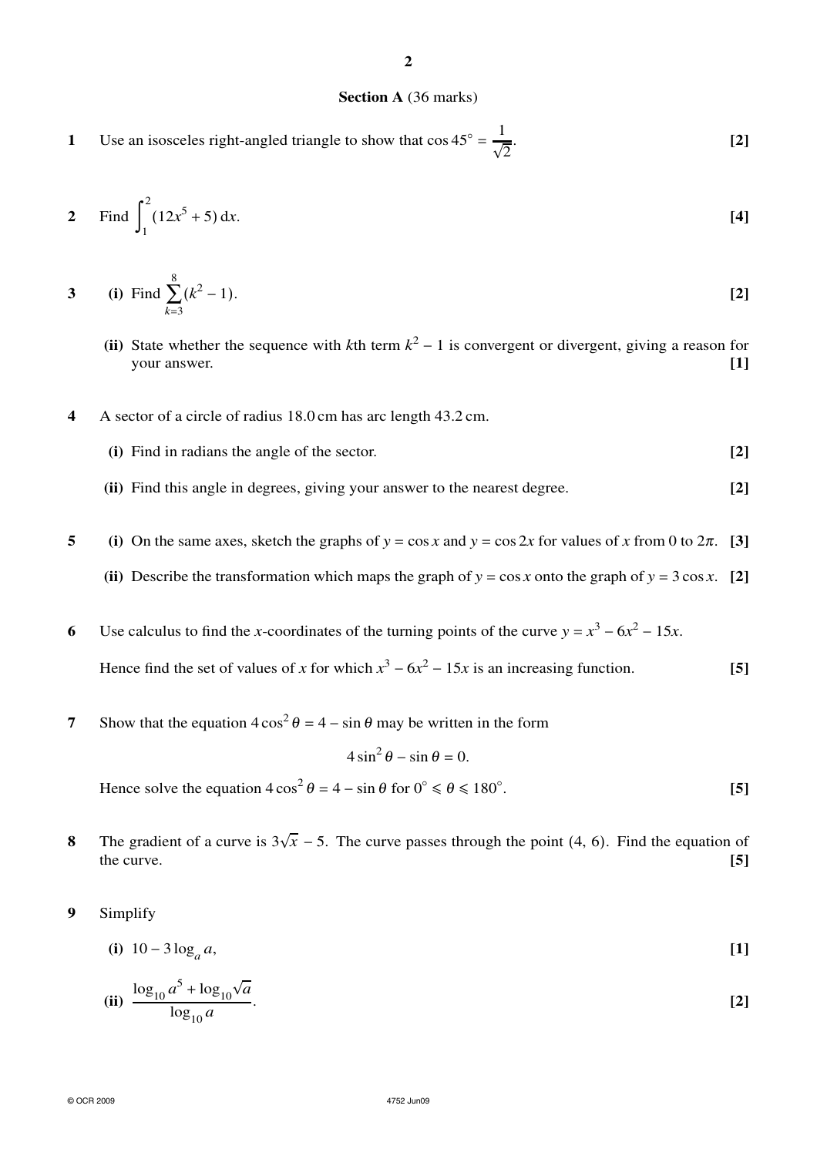# **Section A** (36 marks)

**2**

**1** Use an isosceles right-angled triangle to show that  $\cos 45^\circ = \frac{1}{6}$  $\sqrt{2}$ . **[2]**

2 Find 
$$
\int_{1}^{2} (12x^{5} + 5) dx
$$
. [4]

3 (i) Find 
$$
\sum_{k=3}^{8} (k^2 - 1)
$$
. [2]

- **(ii)** State whether the sequence with *k*th term  $k^2 1$  is convergent or divergent, giving a reason for your answer. **[1]**
- **4** A sector of a circle of radius 18.0 cm has arc length 43.2 cm.
	- **(i)** Find in radians the angle of the sector. **[2]**
	- **(ii)** Find this angle in degrees, giving your answer to the nearest degree. **[2]**
- **5** (i) On the same axes, sketch the graphs of  $y = \cos x$  and  $y = \cos 2x$  for values of *x* from 0 to  $2\pi$ . [3]
	- (ii) Describe the transformation which maps the graph of  $y = \cos x$  onto the graph of  $y = 3 \cos x$ . [2]
- **6** Use calculus to find the *x*-coordinates of the turning points of the curve  $y = x^3 6x^2 15x$ . Hence find the set of values of *x* for which  $x^3 - 6x^2 - 15x$  is an increasing function. **[5]**
- **7** Show that the equation  $4\cos^2\theta = 4 \sin\theta$  may be written in the form

$$
4\sin^2\theta - \sin\theta = 0.
$$

Hence solve the equation  $4\cos^2\theta = 4 - \sin\theta$  for  $0^\circ \le \theta \le 180^\circ$ . **[5]**

- **8** The gradient of a curve is  $3\sqrt{x}$  − 5. The curve passes through the point (4, 6). Find the equation of the curve. **[5]**
- **9** Simplify

(i) 
$$
10 - 3\log_a a
$$
, [1]

(ii) 
$$
\frac{\log_{10} a^5 + \log_{10} \sqrt{a}}{\log_{10} a}.
$$
 [2]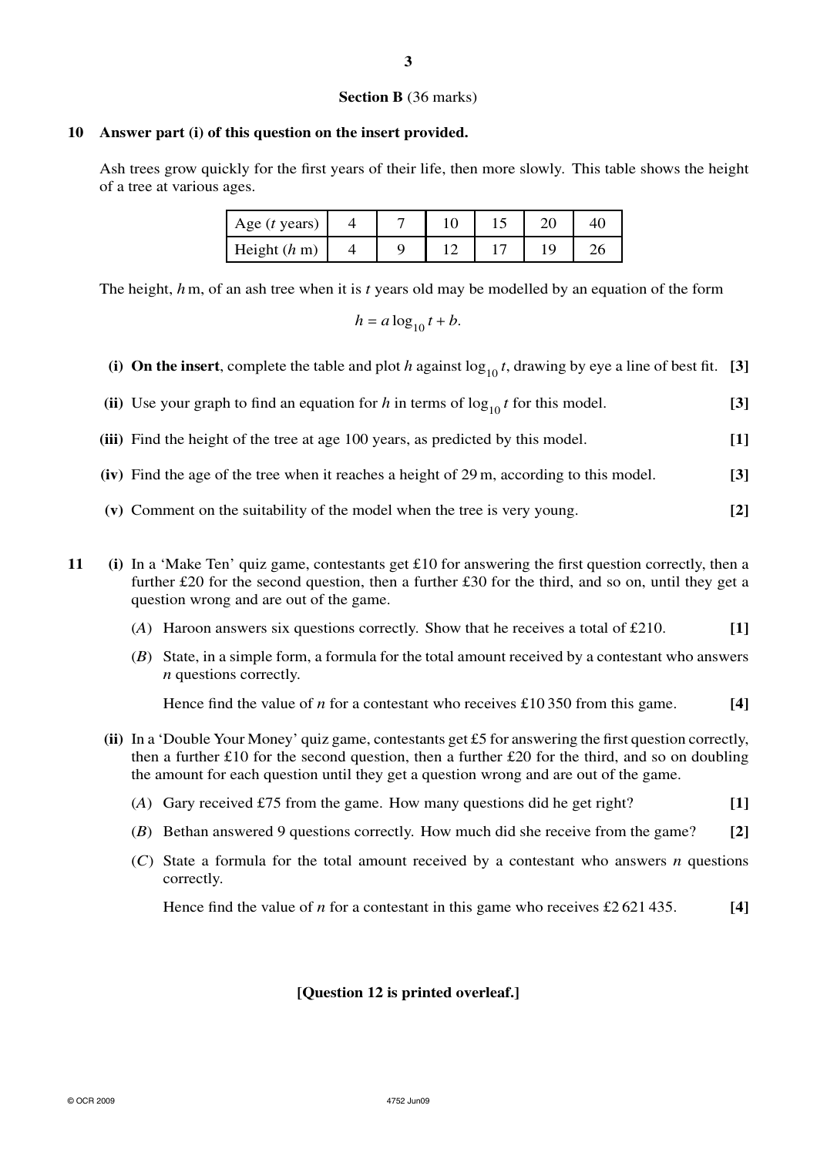## **Section B** (36 marks)

# **10 Answer part (i) of this question on the insert provided.**

Ash trees grow quickly for the first years of their life, then more slowly. This table shows the height of a tree at various ages.

| Age $(t$ years)          |  |  |  |
|--------------------------|--|--|--|
| Height $(h \, \text{m})$ |  |  |  |

The height, *h*m, of an ash tree when it is *t* years old may be modelled by an equation of the form

 $h = a \log_{10} t + b$ .

- (i) On the insert, complete the table and plot *h* against  $\log_{10} t$ , drawing by eye a line of best fit. [3]
- (ii) Use your graph to find an equation for *h* in terms of  $\log_{10} t$  for this model. [3]
- **(iii)** Find the height of the tree at age 100 years, as predicted by this model. **[1]**
- **(iv)** Find the age of the tree when it reaches a height of 29 m, according to this model. **[3]**
- **(v)** Comment on the suitability of the model when the tree is very young. **[2]**
- **11 (i)** In a 'Make Ten' quiz game, contestants get £10 for answering the first question correctly, then a further £20 for the second question, then a further £30 for the third, and so on, until they get a question wrong and are out of the game.
	- (*A*) Haroon answers six questions correctly. Show that he receives a total of £210. **[1]**
	- (*B*) State, in a simple form, a formula for the total amount received by a contestant who answers *n* questions correctly.

Hence find the value of *n* for a contestant who receives £10 350 from this game. **[4]**

- **(ii)** In a 'Double Your Money' quiz game, contestants get £5 for answering the first question correctly, then a further £10 for the second question, then a further £20 for the third, and so on doubling the amount for each question until they get a question wrong and are out of the game.
	- (*A*) Gary received £75 from the game. How many questions did he get right? **[1]**
	- (*B*) Bethan answered 9 questions correctly. How much did she receive from the game? **[2]**
	- (*C*) State a formula for the total amount received by a contestant who answers *n* questions correctly.

Hence find the value of *n* for a contestant in this game who receives £2 621 435. **[4]**

# **[Question 12 is printed overleaf.]**